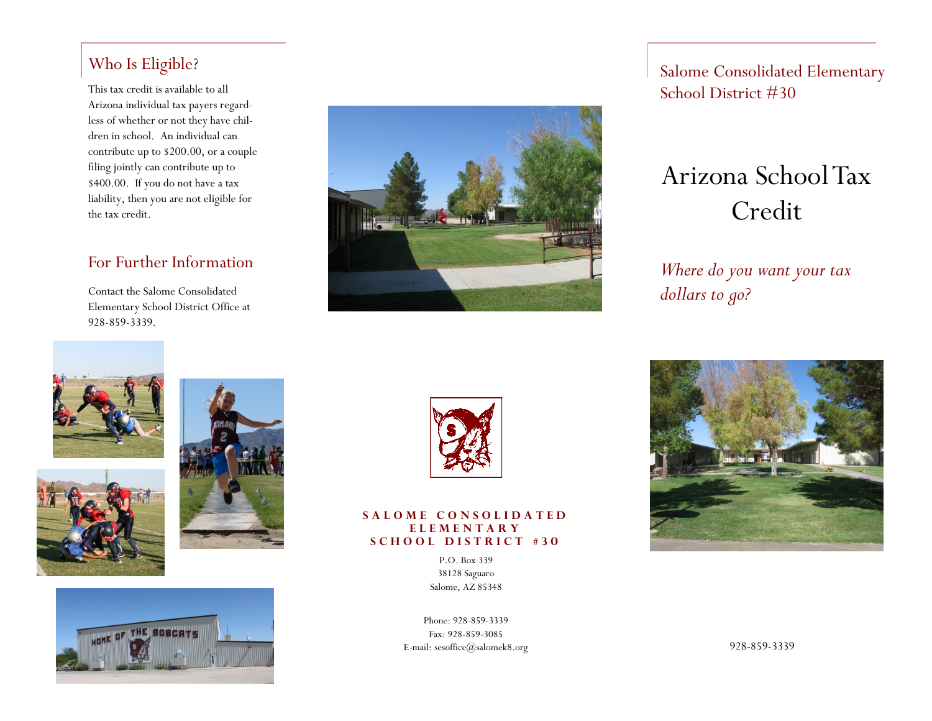### Who Is Eligible?

This tax credit is available to all  $\sim$  School District  $\#30$ Arizona individual tax payers regardless of whether or not they have children in school. An individual can contribute up to \$200.00, or a couple filing jointly can contribute up to \$400.00. If you do not have a tax liability, then you are not eligible for the tax credit.

### For Further Information

Contact the Salome Consolidated Elementary School District Office at 928-859-3339.



Salome Consolidated Elementary

# Arizona School Tax Credit

*Where do you want your tax dollars to go?*











#### S A L O M E C O N S O L I D A T E D **E L E M E N T A R Y S C H O O L D I S T R I C T # 3 0**

P.O. Box 339 38128 Saguaro Salome, AZ 85348

Phone: 928-859-3339 Fax: 928-859-3085 E-mail: sesoffice@salomek8.org



928-859-3339